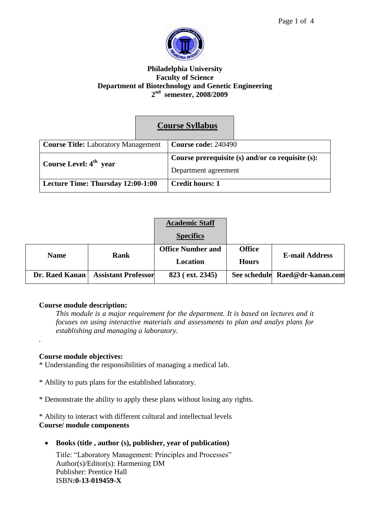



## **Philadelphia University Faculty of Science Department of Biotechnology and Genetic Engineering 2 nd semester, 2008/2009**

|                                            | <b>Course Syllabus</b>                           |  |
|--------------------------------------------|--------------------------------------------------|--|
| <b>Course Title:</b> Laboratory Management | Course code: 240490                              |  |
| Course Level: 4 <sup>th</sup> year         | Course prerequisite (s) and/or co requisite (s): |  |
|                                            | Department agreement                             |  |
| Lecture Time: Thursday 12:00-1:00          | <b>Credit hours: 1</b>                           |  |

|                |                            | <b>Academic Staff</b>    |               |                                |  |
|----------------|----------------------------|--------------------------|---------------|--------------------------------|--|
|                |                            | <b>Specifics</b>         |               |                                |  |
| <b>Name</b>    | Rank                       | <b>Office Number and</b> | <b>Office</b> | E-mail Address                 |  |
|                |                            | Location                 | <b>Hours</b>  |                                |  |
| Dr. Raed Kanan | <b>Assistant Professor</b> | 823 (ext. 2345)          |               | See schedule Raed@dr-kanan.com |  |

# **Course module description:**

*This module is a major requirement for the department. It is based on lectures and it focuses on using interactive materials and assessments to plan and analys plans for establishing and managing a laboratory.*

# **Course module objectives:**

*.*

- \* Understanding the responsibilities of managing a medical lab.
- \* Ability to puts plans for the established laboratory.
- \* Demonstrate the ability to apply these plans without losing any rights.

\* Ability to interact with different cultural and intellectual levels **Course/ module components** 

**Books (title , author (s), publisher, year of publication)**

Title: "Laboratory Management: Principles and Processes" Author(s)/Editor(s): Harmening DM Publisher: Prentice Hall ISBN**:0-13-019459-X**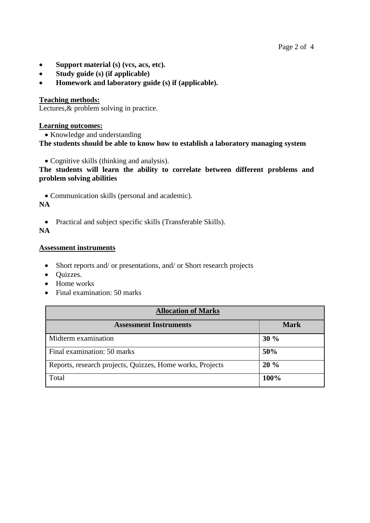- **Support material (s) (vcs, acs, etc).**
- **Study guide (s) (if applicable)**
- **Homework and laboratory guide (s) if (applicable).**

# **Teaching methods:**

Lectures,  $\&$  problem solving in practice.

### **Learning outcomes:**

• Knowledge and understanding **The students should be able to know how to establish a laboratory managing system**

Cognitive skills (thinking and analysis).

**The students will learn the ability to correlate between different problems and problem solving abilities**

Communication skills (personal and academic).

## **NA**

• Practical and subject specific skills (Transferable Skills).

# **NA**

### **Assessment instruments**

- Short reports and/ or presentations, and/ or Short research projects
- Quizzes.
- Home works
- Final examination: 50 marks

| <b>Allocation of Marks</b>                                |             |  |  |
|-----------------------------------------------------------|-------------|--|--|
| <b>Assessment Instruments</b>                             | <b>Mark</b> |  |  |
| Midterm examination                                       | 30%         |  |  |
| Final examination: 50 marks                               | 50%         |  |  |
| Reports, research projects, Quizzes, Home works, Projects | 20%         |  |  |
| Total                                                     | 100%        |  |  |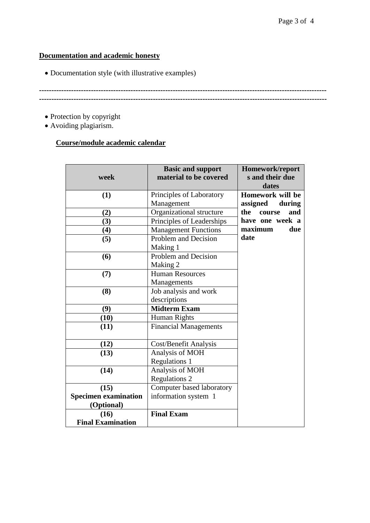# **Documentation and academic honesty**

Documentation style (with illustrative examples)

**--------------------------------------------------------------------------------------------------------------------**

**--------------------------------------------------------------------------------------------------------------------**

- Protection by copyright
- Avoiding plagiarism.

# **Course/module academic calendar**

| week                        | <b>Basic and support</b><br>material to be covered | Homework/report<br>s and their due<br>dates |  |
|-----------------------------|----------------------------------------------------|---------------------------------------------|--|
| (1)                         | Principles of Laboratory                           | Homework will be                            |  |
|                             | Management                                         | assigned<br>during                          |  |
| (2)                         | Organizational structure                           | the<br>course<br>and                        |  |
| (3)                         | Principles of Leaderships                          | have one week a                             |  |
| (4)                         | <b>Management Functions</b>                        | maximum<br>due                              |  |
| (5)                         | Problem and Decision                               | date                                        |  |
|                             | Making 1                                           |                                             |  |
| (6)                         | Problem and Decision                               |                                             |  |
|                             | Making 2                                           |                                             |  |
| (7)                         | <b>Human Resources</b>                             |                                             |  |
|                             | Managements                                        |                                             |  |
| (8)                         | Job analysis and work                              |                                             |  |
|                             | descriptions                                       |                                             |  |
| (9)                         | <b>Midterm Exam</b>                                |                                             |  |
| (10)                        | Human Rights                                       |                                             |  |
| (11)                        | <b>Financial Managements</b>                       |                                             |  |
|                             |                                                    |                                             |  |
| (12)                        | Cost/Benefit Analysis                              |                                             |  |
| (13)                        | Analysis of MOH                                    |                                             |  |
|                             | <b>Regulations 1</b>                               |                                             |  |
| (14)                        | Analysis of MOH                                    |                                             |  |
|                             | <b>Regulations 2</b>                               |                                             |  |
| (15)                        | Computer based laboratory                          |                                             |  |
| <b>Specimen examination</b> | information system 1                               |                                             |  |
| (Optional)                  |                                                    |                                             |  |
| (16)                        | <b>Final Exam</b>                                  |                                             |  |
| <b>Final Examination</b>    |                                                    |                                             |  |